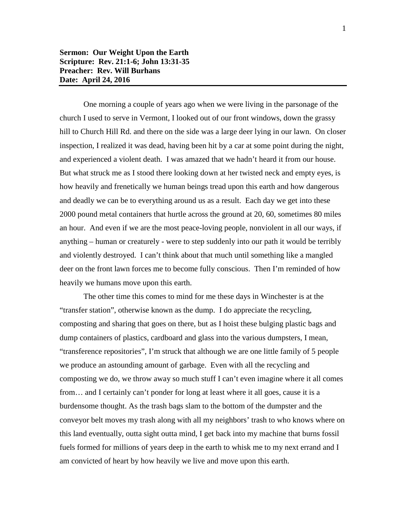One morning a couple of years ago when we were living in the parsonage of the church I used to serve in Vermont, I looked out of our front windows, down the grassy hill to Church Hill Rd. and there on the side was a large deer lying in our lawn. On closer inspection, I realized it was dead, having been hit by a car at some point during the night, and experienced a violent death. I was amazed that we hadn't heard it from our house. But what struck me as I stood there looking down at her twisted neck and empty eyes, is how heavily and frenetically we human beings tread upon this earth and how dangerous and deadly we can be to everything around us as a result. Each day we get into these 2000 pound metal containers that hurtle across the ground at 20, 60, sometimes 80 miles an hour. And even if we are the most peace-loving people, nonviolent in all our ways, if anything – human or creaturely - were to step suddenly into our path it would be terribly and violently destroyed. I can't think about that much until something like a mangled deer on the front lawn forces me to become fully conscious. Then I'm reminded of how heavily we humans move upon this earth.

The other time this comes to mind for me these days in Winchester is at the "transfer station", otherwise known as the dump. I do appreciate the recycling, composting and sharing that goes on there, but as I hoist these bulging plastic bags and dump containers of plastics, cardboard and glass into the various dumpsters, I mean, "transference repositories", I'm struck that although we are one little family of 5 people we produce an astounding amount of garbage. Even with all the recycling and composting we do, we throw away so much stuff I can't even imagine where it all comes from… and I certainly can't ponder for long at least where it all goes, cause it is a burdensome thought. As the trash bags slam to the bottom of the dumpster and the conveyor belt moves my trash along with all my neighbors' trash to who knows where on this land eventually, outta sight outta mind, I get back into my machine that burns fossil fuels formed for millions of years deep in the earth to whisk me to my next errand and I am convicted of heart by how heavily we live and move upon this earth.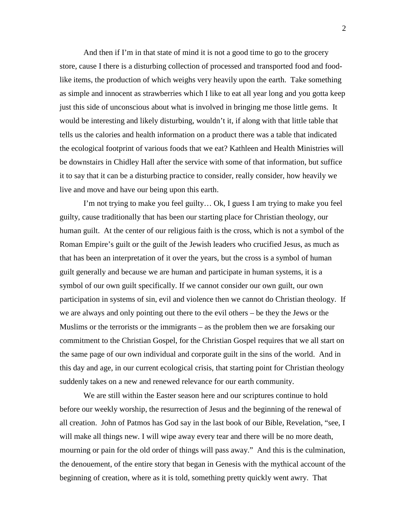And then if I'm in that state of mind it is not a good time to go to the grocery store, cause I there is a disturbing collection of processed and transported food and foodlike items, the production of which weighs very heavily upon the earth. Take something as simple and innocent as strawberries which I like to eat all year long and you gotta keep just this side of unconscious about what is involved in bringing me those little gems. It would be interesting and likely disturbing, wouldn't it, if along with that little table that tells us the calories and health information on a product there was a table that indicated the ecological footprint of various foods that we eat? Kathleen and Health Ministries will be downstairs in Chidley Hall after the service with some of that information, but suffice it to say that it can be a disturbing practice to consider, really consider, how heavily we live and move and have our being upon this earth.

I'm not trying to make you feel guilty… Ok, I guess I am trying to make you feel guilty, cause traditionally that has been our starting place for Christian theology, our human guilt. At the center of our religious faith is the cross, which is not a symbol of the Roman Empire's guilt or the guilt of the Jewish leaders who crucified Jesus, as much as that has been an interpretation of it over the years, but the cross is a symbol of human guilt generally and because we are human and participate in human systems, it is a symbol of our own guilt specifically. If we cannot consider our own guilt, our own participation in systems of sin, evil and violence then we cannot do Christian theology. If we are always and only pointing out there to the evil others – be they the Jews or the Muslims or the terrorists or the immigrants – as the problem then we are forsaking our commitment to the Christian Gospel, for the Christian Gospel requires that we all start on the same page of our own individual and corporate guilt in the sins of the world. And in this day and age, in our current ecological crisis, that starting point for Christian theology suddenly takes on a new and renewed relevance for our earth community.

We are still within the Easter season here and our scriptures continue to hold before our weekly worship, the resurrection of Jesus and the beginning of the renewal of all creation. John of Patmos has God say in the last book of our Bible, Revelation, "see, I will make all things new. I will wipe away every tear and there will be no more death, mourning or pain for the old order of things will pass away." And this is the culmination, the denouement, of the entire story that began in Genesis with the mythical account of the beginning of creation, where as it is told, something pretty quickly went awry. That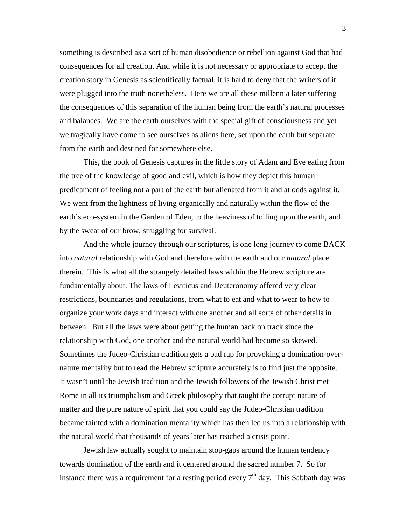something is described as a sort of human disobedience or rebellion against God that had consequences for all creation. And while it is not necessary or appropriate to accept the creation story in Genesis as scientifically factual, it is hard to deny that the writers of it were plugged into the truth nonetheless. Here we are all these millennia later suffering the consequences of this separation of the human being from the earth's natural processes and balances. We are the earth ourselves with the special gift of consciousness and yet we tragically have come to see ourselves as aliens here, set upon the earth but separate from the earth and destined for somewhere else.

This, the book of Genesis captures in the little story of Adam and Eve eating from the tree of the knowledge of good and evil, which is how they depict this human predicament of feeling not a part of the earth but alienated from it and at odds against it. We went from the lightness of living organically and naturally within the flow of the earth's eco-system in the Garden of Eden, to the heaviness of toiling upon the earth, and by the sweat of our brow, struggling for survival.

And the whole journey through our scriptures, is one long journey to come BACK into *natural* relationship with God and therefore with the earth and our *natural* place therein. This is what all the strangely detailed laws within the Hebrew scripture are fundamentally about. The laws of Leviticus and Deuteronomy offered very clear restrictions, boundaries and regulations, from what to eat and what to wear to how to organize your work days and interact with one another and all sorts of other details in between. But all the laws were about getting the human back on track since the relationship with God, one another and the natural world had become so skewed. Sometimes the Judeo-Christian tradition gets a bad rap for provoking a domination-overnature mentality but to read the Hebrew scripture accurately is to find just the opposite. It wasn't until the Jewish tradition and the Jewish followers of the Jewish Christ met Rome in all its triumphalism and Greek philosophy that taught the corrupt nature of matter and the pure nature of spirit that you could say the Judeo-Christian tradition became tainted with a domination mentality which has then led us into a relationship with the natural world that thousands of years later has reached a crisis point.

Jewish law actually sought to maintain stop-gaps around the human tendency towards domination of the earth and it centered around the sacred number 7. So for instance there was a requirement for a resting period every  $7<sup>th</sup>$  day. This Sabbath day was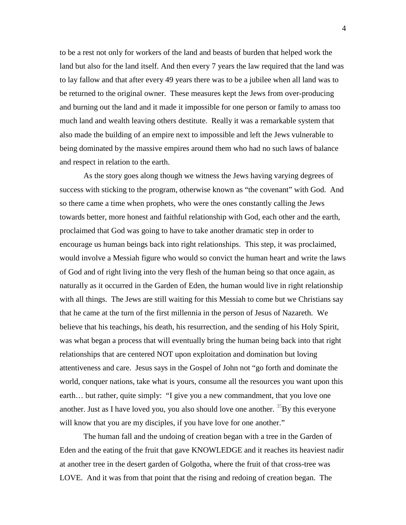to be a rest not only for workers of the land and beasts of burden that helped work the land but also for the land itself. And then every 7 years the law required that the land was to lay fallow and that after every 49 years there was to be a jubilee when all land was to be returned to the original owner. These measures kept the Jews from over-producing and burning out the land and it made it impossible for one person or family to amass too much land and wealth leaving others destitute. Really it was a remarkable system that also made the building of an empire next to impossible and left the Jews vulnerable to being dominated by the massive empires around them who had no such laws of balance and respect in relation to the earth.

As the story goes along though we witness the Jews having varying degrees of success with sticking to the program, otherwise known as "the covenant" with God. And so there came a time when prophets, who were the ones constantly calling the Jews towards better, more honest and faithful relationship with God, each other and the earth, proclaimed that God was going to have to take another dramatic step in order to encourage us human beings back into right relationships. This step, it was proclaimed, would involve a Messiah figure who would so convict the human heart and write the laws of God and of right living into the very flesh of the human being so that once again, as naturally as it occurred in the Garden of Eden, the human would live in right relationship with all things. The Jews are still waiting for this Messiah to come but we Christians say that he came at the turn of the first millennia in the person of Jesus of Nazareth. We believe that his teachings, his death, his resurrection, and the sending of his Holy Spirit, was what began a process that will eventually bring the human being back into that right relationships that are centered NOT upon exploitation and domination but loving attentiveness and care. Jesus says in the Gospel of John not "go forth and dominate the world, conquer nations, take what is yours, consume all the resources you want upon this earth… but rather, quite simply: "I give you a new commandment, that you love one another. Just as I have loved you, you also should love one another.  ${}^{35}$ By this everyone will know that you are my disciples, if you have love for one another."

The human fall and the undoing of creation began with a tree in the Garden of Eden and the eating of the fruit that gave KNOWLEDGE and it reaches its heaviest nadir at another tree in the desert garden of Golgotha, where the fruit of that cross-tree was LOVE. And it was from that point that the rising and redoing of creation began. The

4